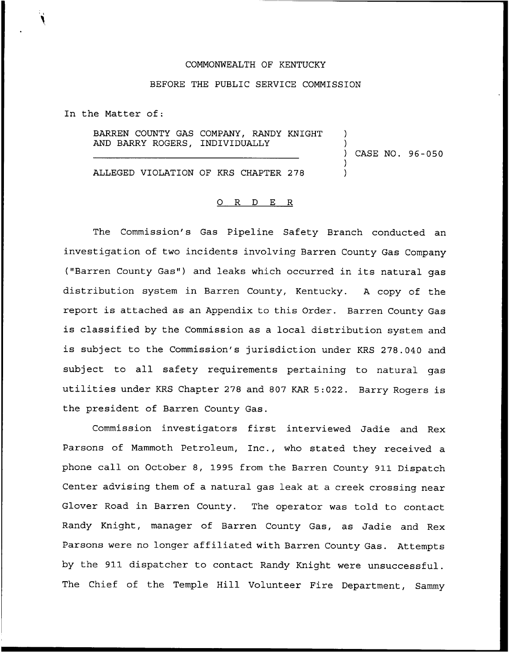### COMMONWEALTH OF KENTUCKY

## BEFORE THE PUBLIC SERVICE COMMISSION

In the Matter of:

BARREN COUNTY GAS COMPANY, RANDY KNIGHT AND BARRY ROGERS, INDIVIDUALLY

) CASE NO. 96-050

) )

 $\overline{\phantom{a}}$ )

ALLEGED VIOLATION OF KRS CHAPTER 278

### 0 <sup>R</sup> <sup>D</sup> E R

The Commission's Gas Pipeline Safety Branch conducted an investigation of two incidents involving Barren County Gas Company ("Barren County Gas") and leaks which occurred in its natural gas distribution system in Barren County, Kentucky. <sup>A</sup> copy of the report is attached as an Appendix to this Order. Barren County Gas is classified by the Commission as a local distribution system and is subject to the Commission's jurisdiction under KRS 278.040 and subject to all safety requirements pertaining to natural gas utilities under KRS Chapter <sup>278</sup> and <sup>807</sup> KAR 5:022. Barry Rogers is the president of Barren County Gas.

Commission investigators first interviewed Jadie and Rex Parsons of Mammoth Petroleum, Inc., who stated they received a phone call on October 8, 1995 from the Barren County 911 Dispatch Center advising them of a natural gas leak at a creek crossing near Glover Road in Barren County. The operator was told to contact Randy Knight, manager of Barren County Gas, as Jadie and Rex Parsons were no longer affiliated with Barren County Gas. Attempts by the 911 dispatcher to contact Randy Knight were unsuccessful. The Chief of the Temple Hill Volunteer Fire Department, Sammy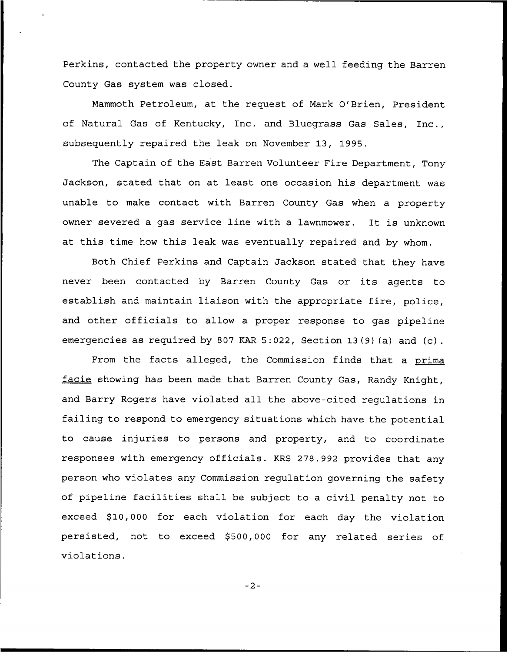Perkins, contacted the property owner and a well feeding the Barren County Gas system was closed.

Mammoth Petroleum, at the request of Mark O'Brien, President of Natural Gas of Kentucky, Inc. and Bluegrass Gas Sales, Inc., subsequently repaired the leak on November 13, 1995.

The Captain of the East Barren Volunteer Fire Department, Tony Jackson, stated that on at least one occasion his department was unable to make contact with Barren County Gas when a property owner severed <sup>a</sup> gas service line with <sup>a</sup> lawnmower. It is unknown at this time how this leak was eventually repaired and by whom.

Both Chief Perkins and Captain Jackson stated that they have never been contacted by Barren County Gas or its agents to establish and maintain liaison with the appropriate fire, police, and other officials to allow a proper response to gas pipeline emergencies as required by 807 KAR 5:022, Section 13(9) (a) and (c) .

From the facts alleged, the Commission finds that a prima facie showing has been made that Barren County Gas, Randy Knight, and Barry Rogers have violated all the above-cited regulations in failing to respond to emergency situations which have the potential to cause injuries to persons and property, and to coordinate responses with emergency officials. KRS 278.992 provides that any person who violates any Commission regulation governing the safety of pipeline facilities shall be subject to <sup>a</sup> civil penalty not to exceed \$10,000 for each violation for each day the violation persisted, not to exceed \$500,000 for any related series of violations.

 $-2-$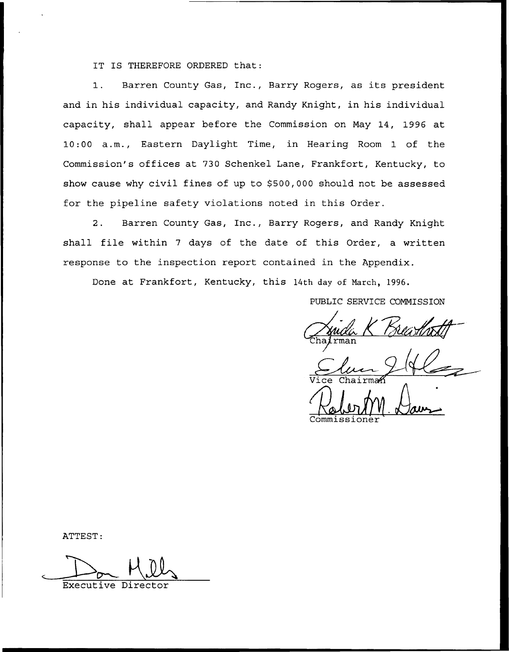IT IS THEREFORE ORDERED that:

1. Barren County Gas, Inc., Barry Rogers, as its president and in his individual capacity, and Randy Knight, in his individual capacity, shall appear before the Commission on May 14, 1996 at 10:00 a.m., Eastern Daylight Time, in Hearing Room 1 of the Commission's offices at 730 Schenkel Lane, Frankfort, Kentucky, to show cause why civil fines of up to \$500,000 should not be assessed for the pipeline safety violations noted in this Order.

2. Barren County Gas, Inc., Barry Rogers, and Randy Knight shall file within <sup>7</sup> days of the date of this Order, a written response to the inspection report contained in the Appendix.

Done at Frankfort, Kentucky, this 14th day of Narch, 1996.

PUBLIC SERVICE COMMISSION

Commissione

ATTEST:

Executive Direc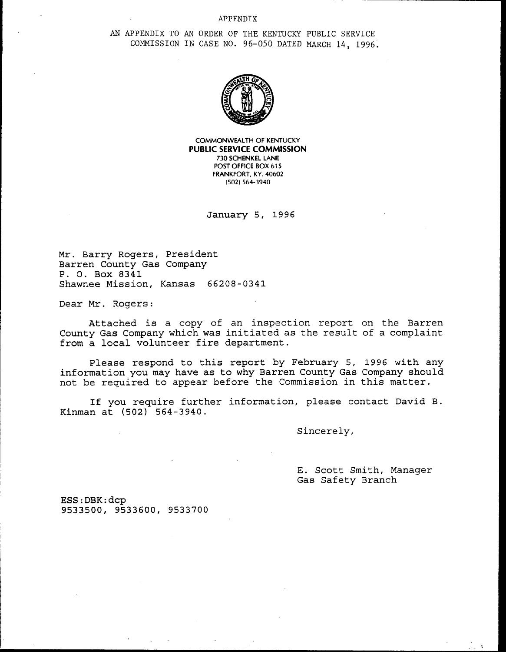### APPENDIX

AN APPENDIX TO AN ORDER OF THE KENTUCKY PUBLIC SERVICE COMMISSION IN CASE NO. 96—050 DATED MARCH 14, 1996.



COMMONWEALTH OF KENTUCKY PUBLlC SERVICE COMMISSION 730 SCHENKEL LANE POST OFFICE BOX 615 FRANKFORT, KY. 40602 (502) 564-3940

January 5, 1996

Mr. Barry Rogers, President Barren County Gas Company P. O. Box 8341 Shawnee Mission, Kansas 66208-0341

Dear Mr. Rogers:

Attached is a copy of an inspection report on the Barren County Gas Company which was initiated as the result of a complaint from a local volunteer fire department.

Please respond to this report by February 5, 1996 with any information you may have as to why Barren County Gas Company should not be required to appear before the Commission in this matter.

If you require further information, please contact David, B. Kinman at (502) 564-3940.

Sincerely,

E. Scott Smith, Manager Gas Safety Branch

ESS:DBK:dcp 9533500, 9533600, 9533700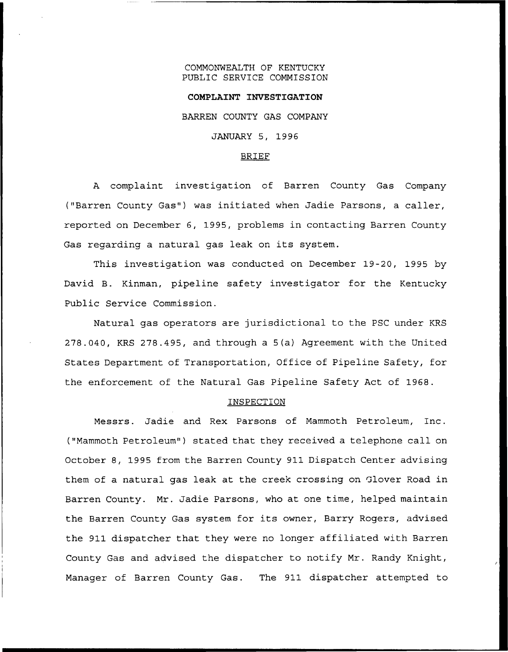### COMMONWEALTH OF KENTUCKY PUBLIC SERVICE COMMISSION

# COMPLAINT INVESTIGATION BARREN COUNTY GAS COMPANY JANUARY 5, 1996

### BRIEF

<sup>A</sup> complaint investigation of Barren County Gas Company ("Barren County Gas") was initiated when Jadie Parsons, a caller, reported on December 6, 1995, problems in contacting Barren County Gas regarding <sup>a</sup> natural gas leak on its system.

This investigation was conducted on December 19-20, 1995 by David B. Kinman, pipeline safety investigator for the Kentucky Public Service Commission.

Natural gas operators are jurisdictional to the PSC under KRS 278.040, KRS 278.495, and through a 5(a) Agreement with the United States Department of Transportation, Office of Pipeline Safety, for the enforcement of the Natural Gas Pipeline Safety Act of 1968.

### INSPECTION

Messrs. Jadie and Rex Parsons of Mammoth Petroleum, Inc. ("Mammoth Petroleum") stated that they received a telephone call on October 8, 1995 from the Barren County 911 Dispatch Center advising them of a natural gas leak at the creek crossing on Glover Road in Barren County. Mr. Jadie Parsons, who at one time, helped maintain the Barren County Gas system for its owner, Barry Rogers, advised the 911 dispatcher that they were no longer affiliated with Barren County Gas and advised the dispatcher to notify Mr. Randy Knight, Manager of Barren County Gas. The 911 dispatcher attempted to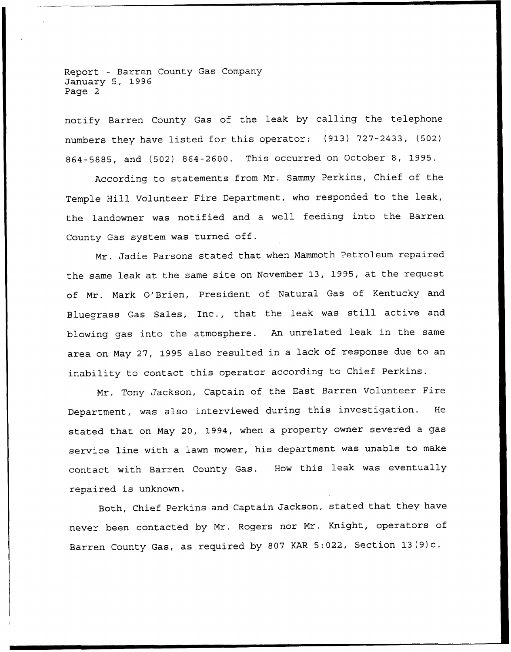Report — Barren County Gas Company January 5, 1996 Page 2

notify Barren County Gas of the leak by calling the telephone numbers they have listed for this operator: (913) 727-2433, (502) 864-5885, and (502) 864-2600. This occurred on October 8, 1995.

According to statements from Mr. Sammy Perkins, Chief of the Temple Hill Volunteer Fire Department, who responded to the leak, the landowner was notified and a well feeding into the Barren County Gas system was turned off.

Mr. Jadie Parsons stated that when Mammoth Petroleum repaired the same leak at the same site on November 13, 1995, at the request of Mr. Mark O'Brien, President of Natural Gas of Kentucky and Bluegrass Gas Sales, Inc., that the leak was still active and blowing gas into the atmosphere. An unrelated leak in the same area on May 27, 1995 also resulted in a lack of response due to an inability to contact this operator according to Chief Perkins.

Mr. Tony Jackson, Captain of the East Barren Volunteer Fire Department, was also interviewed during this investigation. He stated that on May 20, 1994, when a property owner severed a gas service line with <sup>a</sup> lawn mower, his department was unable to make contact with Barren County Gas. How this leak was eventually repaired is unknown.

Both, Chief Perkins and Captain Jackson, stated that they have never been contacted by Mr. Rogers nor Mr. Knight, operators of Barren County Gas, as required by <sup>807</sup> KAR 5:022, Section 13(9)c.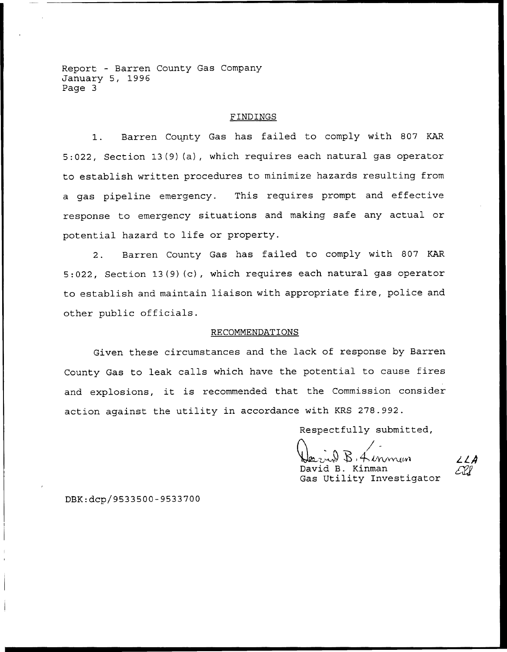Report — Barren County Gas Company January 5, 1996 Page 3

### FINDINGS

1. Barren County Gas has failed to comply with <sup>807</sup> KAR 5:022, Section 13(9)(a), which requires each natural gas operator to establish written procedures to minimize hazards resulting from a gas pipeline emergency. This requires prompt and effective response to emergency situations and making safe any actual or potential hazard to life or property.

2. Barren County Gas has failed to comply with 807 KAR 5:022, Section 13(9)(c), which requires each natural gas operator to establish and maintain liaison with appropriate fire, police and other public officials.

### RECOMMENDATIONS

Given these circumstances and the lack of response by Barren County Gas to leak calls which have the potential to cause fires and explosions, it is recommended that the Commission consider action against the utility in accordance with KRS 278.992.

Respectfully submitted,

 $B$ . Kenmar David B. Kinman Gas Utility Investigator

774

DBK:dcp/9533500-9533700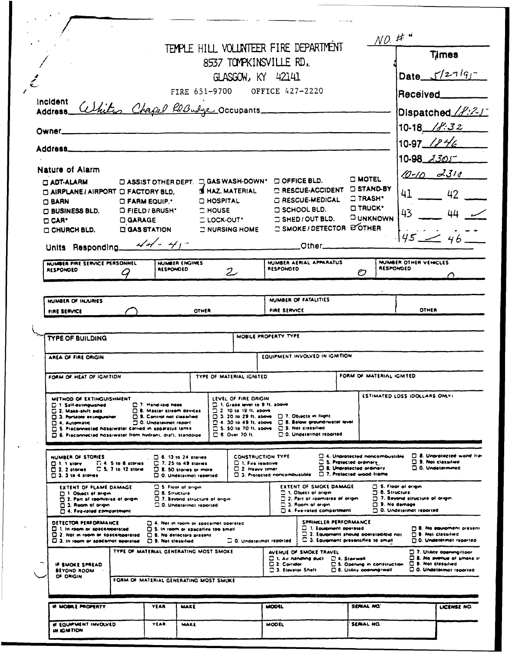|                                                                                                                                                                                                                                                                                                                                                                                                                               |                                                   |                                                                                                                            |                                                                                                                    |                   |                                                                                                                                                                                                     |                                                           |                                                                                                                                                 |                                                                                                                                              | NO. #                                     |                                                                                                                          |
|-------------------------------------------------------------------------------------------------------------------------------------------------------------------------------------------------------------------------------------------------------------------------------------------------------------------------------------------------------------------------------------------------------------------------------|---------------------------------------------------|----------------------------------------------------------------------------------------------------------------------------|--------------------------------------------------------------------------------------------------------------------|-------------------|-----------------------------------------------------------------------------------------------------------------------------------------------------------------------------------------------------|-----------------------------------------------------------|-------------------------------------------------------------------------------------------------------------------------------------------------|----------------------------------------------------------------------------------------------------------------------------------------------|-------------------------------------------|--------------------------------------------------------------------------------------------------------------------------|
|                                                                                                                                                                                                                                                                                                                                                                                                                               |                                                   |                                                                                                                            |                                                                                                                    |                   |                                                                                                                                                                                                     | 8537 TOMPKINSVILLE RD.                                    | TEMPLE HILL VOLUNTEER FIRE DEPARTMENT                                                                                                           |                                                                                                                                              |                                           | Times                                                                                                                    |
|                                                                                                                                                                                                                                                                                                                                                                                                                               |                                                   |                                                                                                                            |                                                                                                                    |                   |                                                                                                                                                                                                     | GLASGOW, KY 42141                                         |                                                                                                                                                 |                                                                                                                                              |                                           | Date $5/27195$                                                                                                           |
|                                                                                                                                                                                                                                                                                                                                                                                                                               |                                                   |                                                                                                                            |                                                                                                                    |                   |                                                                                                                                                                                                     | FIRE 651-9700 OFFICE 427-2220                             |                                                                                                                                                 |                                                                                                                                              |                                           | Received <sub>______</sub>                                                                                               |
| Incident<br>noigent <i>White Chapel Rebusy</i> Occupants                                                                                                                                                                                                                                                                                                                                                                      |                                                   |                                                                                                                            |                                                                                                                    |                   |                                                                                                                                                                                                     |                                                           |                                                                                                                                                 |                                                                                                                                              |                                           | Dispatched /f:21                                                                                                         |
| Owner                                                                                                                                                                                                                                                                                                                                                                                                                         |                                                   |                                                                                                                            |                                                                                                                    |                   |                                                                                                                                                                                                     |                                                           |                                                                                                                                                 |                                                                                                                                              |                                           | $10.18$ / <i>f:32</i>                                                                                                    |
| Address___________                                                                                                                                                                                                                                                                                                                                                                                                            |                                                   |                                                                                                                            |                                                                                                                    |                   |                                                                                                                                                                                                     |                                                           |                                                                                                                                                 |                                                                                                                                              |                                           | $10.97$ /246                                                                                                             |
|                                                                                                                                                                                                                                                                                                                                                                                                                               |                                                   |                                                                                                                            |                                                                                                                    |                   |                                                                                                                                                                                                     |                                                           |                                                                                                                                                 |                                                                                                                                              |                                           | $10 - 98$ $3305$                                                                                                         |
| Nature of Alarm                                                                                                                                                                                                                                                                                                                                                                                                               |                                                   |                                                                                                                            |                                                                                                                    |                   |                                                                                                                                                                                                     |                                                           | <b>DOFFICE BLD.</b>                                                                                                                             | <b>C MOTEL</b>                                                                                                                               |                                           | $10 - 10 - 2310$                                                                                                         |
| <b>CLADT-ALARM</b><br><b>MAIRPLANE / AIRPORT O FACTORY BLD.</b>                                                                                                                                                                                                                                                                                                                                                               |                                                   | <b>EXASSIST OTHER DEPT. EXASS WASH-DOWN'</b>                                                                               |                                                                                                                    |                   | <b>SE HAZ, MATERIAL</b>                                                                                                                                                                             |                                                           | <b>E RESCUE-ACCIDENT</b>                                                                                                                        | <b>DISTAND-BY</b>                                                                                                                            |                                           | 41 42                                                                                                                    |
| $\Box$ BARN                                                                                                                                                                                                                                                                                                                                                                                                                   |                                                   | <b>O FARM EQUIP.</b>                                                                                                       |                                                                                                                    | <b>O HOSPITAL</b> |                                                                                                                                                                                                     |                                                           | G RESCUE-MEDICAL                                                                                                                                | <b>C TRASH'</b><br><b>D TRUCK'</b>                                                                                                           |                                           |                                                                                                                          |
| <b>O BUSINESS BLD.</b><br>$\Box$ CAR <sup>+</sup>                                                                                                                                                                                                                                                                                                                                                                             |                                                   | D FIELD / BRUSH*<br>$\Box$ GARAGE                                                                                          |                                                                                                                    | $\square$ HOUSE   | <b>CLOCK-OUT*</b>                                                                                                                                                                                   |                                                           | <b>CI SCHOOL BLD.</b><br><b>J SHED / OUT BLD.</b>                                                                                               | <b>CUNKNOWN</b>                                                                                                                              | 43.                                       | 44                                                                                                                       |
| O CHURCH BLD.                                                                                                                                                                                                                                                                                                                                                                                                                 |                                                   | <b>CI GAS STATION</b>                                                                                                      |                                                                                                                    |                   | $\supset$ NURSING HOME                                                                                                                                                                              |                                                           | <b>C SMOKE/ DETECTOR ESOTHER</b>                                                                                                                |                                                                                                                                              |                                           | $45 - 46$                                                                                                                |
| Units Responding $44 - 41$                                                                                                                                                                                                                                                                                                                                                                                                    |                                                   |                                                                                                                            |                                                                                                                    |                   |                                                                                                                                                                                                     |                                                           | <b>Other</b> 2001                                                                                                                               |                                                                                                                                              |                                           |                                                                                                                          |
| NUMBER FIRE SERVICE PERSONNEL<br><b>RESPONDED</b>                                                                                                                                                                                                                                                                                                                                                                             |                                                   | RESPONDED                                                                                                                  | NUMBER ENGINES                                                                                                     |                   | $\mathcal{Z}$                                                                                                                                                                                       | <b>RESPONDED</b>                                          | NUMBER AERIAL APPARATUS                                                                                                                         | O                                                                                                                                            | NUMBER OTHER VEHICLES<br><b>RESPONDED</b> | $\bigcap$                                                                                                                |
|                                                                                                                                                                                                                                                                                                                                                                                                                               |                                                   |                                                                                                                            |                                                                                                                    |                   |                                                                                                                                                                                                     |                                                           |                                                                                                                                                 |                                                                                                                                              |                                           |                                                                                                                          |
| NUMBER OF INJURIES                                                                                                                                                                                                                                                                                                                                                                                                            |                                                   |                                                                                                                            |                                                                                                                    |                   |                                                                                                                                                                                                     |                                                           | NUMBER OF FATALITIES                                                                                                                            |                                                                                                                                              |                                           |                                                                                                                          |
| FIRE SERVICE                                                                                                                                                                                                                                                                                                                                                                                                                  |                                                   |                                                                                                                            | OTHER                                                                                                              |                   |                                                                                                                                                                                                     | FIRE SERVICE                                              |                                                                                                                                                 |                                                                                                                                              |                                           | OTHER                                                                                                                    |
| <b>TYPE OF BUILDING</b>                                                                                                                                                                                                                                                                                                                                                                                                       |                                                   |                                                                                                                            |                                                                                                                    |                   | MOBILE PROPERTY TYPE                                                                                                                                                                                |                                                           |                                                                                                                                                 |                                                                                                                                              |                                           |                                                                                                                          |
| AREA OF FIRE ORIGIN                                                                                                                                                                                                                                                                                                                                                                                                           |                                                   |                                                                                                                            |                                                                                                                    |                   |                                                                                                                                                                                                     |                                                           | EQUIPMENT INVOLVED IN IGMITION                                                                                                                  |                                                                                                                                              |                                           |                                                                                                                          |
| FORM OF HEAT OF IGNITION                                                                                                                                                                                                                                                                                                                                                                                                      |                                                   |                                                                                                                            |                                                                                                                    |                   | TYPE OF MATERIAL IGNITED                                                                                                                                                                            |                                                           |                                                                                                                                                 | FORM OF MATERIAL IGNITED                                                                                                                     |                                           |                                                                                                                          |
| METHOD OF EXTINGUISHMENT<br><b>C. 1. Salf-extinguished</b><br>$\square$ 2. Make-shift aids<br>3. Portable assinguisher<br><b>C. 4. Automatic</b><br>S. Preconnected hose/water carried in apparatus tanks<br>$\Box$ B. Preconnected hose/water from hydrant, draft, standoipe.                                                                                                                                                |                                                   | 7. Hand-laid hose<br><b>B. Master stream devices</b><br><b>D.S. Control not classified</b><br>$\Box$ 0. Undeteknot report. |                                                                                                                    |                   | LEVEL OF FIRE ORIGIN<br>$\Box$ 1. Grade level to 9.11, above<br>$210101911.$ above<br>$\Box$ 3. 20 to 29 ft, above<br>$\square$ 4. 30 to 49 ft, above<br>$25.50$ to 70 ft. sbove<br>⊟ 6. Over 70 H. |                                                           | 7. Objects in flight<br><b>C. 8. Below ground/water level</b><br><b>C.S. Not classified</b><br><b>D.O. Undeter/not reported</b>                 |                                                                                                                                              | ESTIMATED LOSS IDOLLARS ONLY!             |                                                                                                                          |
| NUMBER OF STORIES<br>$\Box$ 1. 1 story<br>$\Box$ 2. 2 atomes<br>$\Box$ 3. 3 to 4 stories                                                                                                                                                                                                                                                                                                                                      | C. 4. 5 to 6 storms.<br><b>C.S. 7 to 12 store</b> |                                                                                                                            | $\Box$ 6.13 to 24 stores<br>$\Box$ 7. 25 to 49 stories<br>$\Box$ 8. 50 stores or more<br>C. O. Undetermot reported |                   | C 1. Fire resistive<br>$\Box$ 2. Heavy timer                                                                                                                                                        | <b>CONSTRUCTION TYPE</b><br>C 3. Protected noncombustible |                                                                                                                                                 | $\square$ 4. Unprotected noncombustible<br>□ 5. Protected ordinary<br>$\square$ 8. Unprotected ordinary<br>$\Box$ 7. Protected wood frame    |                                           | <b>B. Unprotected wond fram</b><br>$\square$ 9. Not classified<br>$\square$ 0. Undetermined                              |
| EXTENT OF SMOKE DAMAGE<br><b>G. 5. Floor of origin</b><br><b>EXTENT OF FLAME DAMAGE</b><br>C 1. Object of origin.<br><b>D. 6. Structure</b><br>1 Object of origin<br>2.2. Part of room/area of origin<br>D. 7. Beyond structure of origin<br>2. Part of room/area of origin<br>C. 3. Room of origin.<br>C.O. Undetermot reported<br>$\square$ 3. Room of origin<br>□ 4. Fire-rated compartment<br>2 4. Fire-rated compartment |                                                   |                                                                                                                            |                                                                                                                    |                   |                                                                                                                                                                                                     |                                                           |                                                                                                                                                 | 5. Floor of origin<br><b>6. Structura</b><br>$\Box$ 7. Beyond structure of origin<br>$\square$ 9. No damage<br>$\Box$ O. Undetermot reported |                                           |                                                                                                                          |
| DETECTOR PERFORMANCE<br>$\Box$ 1. In room or apace/operated<br>$\square$ 2. Not in room or space/operated<br>$\Box$ 3. In room or spacemet operated.                                                                                                                                                                                                                                                                          |                                                   | <b>D.S. Not classified</b>                                                                                                 | a. Not in room or space/not operated<br>5. In room or space/fire too small<br><b>E. B. No detectors present</b>    |                   |                                                                                                                                                                                                     | C.O. Undetermot reported                                  | SPRINKLER PERFORMANCE<br>C. 1. Equipment operated<br>2. Equipment should operated/did not<br><sup>[2]</sup> 3. Equipment present/fire to small. |                                                                                                                                              |                                           | <b>D. No equipment present</b><br><b>D.S. Not classiled</b><br>D. Undetermot reported                                    |
| IF SMOKE SPREAD<br><b>BEYOND ROOM</b><br>OF ORIGIN                                                                                                                                                                                                                                                                                                                                                                            |                                                   | TYPE OF MATERIAL GENERATING MOST SMOKE<br>FORM OF MATERIAL GENERATING MOST SMOKE                                           |                                                                                                                    |                   |                                                                                                                                                                                                     | $\square$ 2. Corridor<br><b>C. 3. Elevator Shaft</b>      | AVENUE OF SMOKE TRAVEL<br>$\square$ 1. Air handling duct $\square$ 4. Stairwell                                                                 | C.S. Opening in construction.<br><b>C. 6. Utility operang/wall</b>                                                                           |                                           | D. 7. Utdity opening/floor<br><b>Q.S. No evenue of smoke tr</b><br><b>D.S. Not classiled</b><br>D.O. Undetermot reported |
|                                                                                                                                                                                                                                                                                                                                                                                                                               |                                                   |                                                                                                                            |                                                                                                                    |                   |                                                                                                                                                                                                     |                                                           |                                                                                                                                                 |                                                                                                                                              |                                           |                                                                                                                          |
| IF MOBILE PROPERTY                                                                                                                                                                                                                                                                                                                                                                                                            |                                                   | <b>YEAR</b>                                                                                                                | MAKE                                                                                                               |                   |                                                                                                                                                                                                     | MODEL                                                     |                                                                                                                                                 | SENIAL NO.                                                                                                                                   |                                           | LICENSE NO.                                                                                                              |
| IF EQUIPMENT INVOLVED<br><b>IN IGNITION</b>                                                                                                                                                                                                                                                                                                                                                                                   |                                                   | YEAR                                                                                                                       | MAKE                                                                                                               |                   |                                                                                                                                                                                                     | <b>MODEL</b>                                              |                                                                                                                                                 | SEALAL NO.                                                                                                                                   |                                           |                                                                                                                          |
|                                                                                                                                                                                                                                                                                                                                                                                                                               |                                                   |                                                                                                                            |                                                                                                                    |                   |                                                                                                                                                                                                     |                                                           |                                                                                                                                                 |                                                                                                                                              |                                           |                                                                                                                          |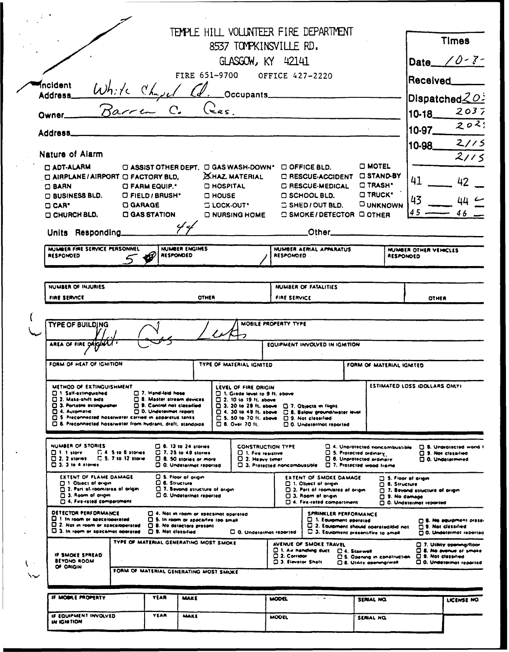|   |                                                                                                                                                                                                                                                                  |                                                                                  |                                                                                                                                  |                                                                                                                | 8537 TOMPKINSVILLE RD.                                                                                                                                                                                     | TEMPLE HILL VOLUNTEER FIRE DEPARTMENT                                                                                                       |                                                                                                                                       |                                               |                                                                                     | <b>Times</b>                                                                                          |
|---|------------------------------------------------------------------------------------------------------------------------------------------------------------------------------------------------------------------------------------------------------------------|----------------------------------------------------------------------------------|----------------------------------------------------------------------------------------------------------------------------------|----------------------------------------------------------------------------------------------------------------|------------------------------------------------------------------------------------------------------------------------------------------------------------------------------------------------------------|---------------------------------------------------------------------------------------------------------------------------------------------|---------------------------------------------------------------------------------------------------------------------------------------|-----------------------------------------------|-------------------------------------------------------------------------------------|-------------------------------------------------------------------------------------------------------|
|   |                                                                                                                                                                                                                                                                  |                                                                                  |                                                                                                                                  |                                                                                                                | GLASGOW, KY 42141                                                                                                                                                                                          |                                                                                                                                             |                                                                                                                                       |                                               |                                                                                     | Date $\angle$ 0-3-                                                                                    |
|   |                                                                                                                                                                                                                                                                  |                                                                                  |                                                                                                                                  |                                                                                                                |                                                                                                                                                                                                            | FIRE 651-9700 OFFICE 427-2220                                                                                                               |                                                                                                                                       |                                               |                                                                                     |                                                                                                       |
|   | incident                                                                                                                                                                                                                                                         | White Chase                                                                      |                                                                                                                                  |                                                                                                                |                                                                                                                                                                                                            |                                                                                                                                             |                                                                                                                                       |                                               | Received                                                                            |                                                                                                       |
|   | <b>Address</b>                                                                                                                                                                                                                                                   | Rarra C.                                                                         |                                                                                                                                  |                                                                                                                | . Occupants                                                                                                                                                                                                |                                                                                                                                             |                                                                                                                                       |                                               |                                                                                     | $\mathsf{Dispatched} \text{\normalsize \underline{\text{O}}} \text{\normalsize \underline{\text{O}}}$ |
|   | Owner.                                                                                                                                                                                                                                                           |                                                                                  |                                                                                                                                  |                                                                                                                | $($ $\epsilon$ <i>as</i> .                                                                                                                                                                                 |                                                                                                                                             |                                                                                                                                       |                                               | $10-18$                                                                             | 2037                                                                                                  |
|   | Address_                                                                                                                                                                                                                                                         |                                                                                  |                                                                                                                                  |                                                                                                                |                                                                                                                                                                                                            |                                                                                                                                             |                                                                                                                                       |                                               | 10-97                                                                               | 202;                                                                                                  |
|   | Nature of Alarm                                                                                                                                                                                                                                                  |                                                                                  |                                                                                                                                  |                                                                                                                |                                                                                                                                                                                                            |                                                                                                                                             |                                                                                                                                       |                                               | 10-98                                                                               | 2/15                                                                                                  |
|   | <b>D ADT-ALARM</b>                                                                                                                                                                                                                                               |                                                                                  |                                                                                                                                  |                                                                                                                |                                                                                                                                                                                                            | □ ASSIST OTHER DEPT. □ GAS WASH-DOWN' □ OFFICE BLD.                                                                                         | <b>C MOTEL</b>                                                                                                                        |                                               |                                                                                     | 2/15                                                                                                  |
|   | C AIRPLANE / AIRPORT C FACTORY BLD,                                                                                                                                                                                                                              |                                                                                  |                                                                                                                                  |                                                                                                                | <b>EXHAZ MATERIAL</b>                                                                                                                                                                                      | □ RESCUE-ACCIDENT □ STAND-BY                                                                                                                |                                                                                                                                       |                                               | 41                                                                                  | 42                                                                                                    |
|   | $\Box$ BARN<br>$\Box$ BUSINESS BLD.                                                                                                                                                                                                                              | <b>CI FARM EQUIP.</b><br>$\Box$ FIELD / BRUSH*                                   |                                                                                                                                  |                                                                                                                | <b>D HOSPITAL</b><br>O HOUSE                                                                                                                                                                               | <b>C RESCUE-MEDICAL</b><br><b>C SCHOOL BLD.</b>                                                                                             | C TRASH'<br>$\Box$ TRUCK'                                                                                                             |                                               |                                                                                     |                                                                                                       |
|   | $\Box$ CAR <sup><math>\bullet</math></sup>                                                                                                                                                                                                                       | <b>D</b> GARAGE                                                                  |                                                                                                                                  |                                                                                                                | $\square$ LOCK-OUT $\cdot$                                                                                                                                                                                 | $\square$ SHED / OUT BLD.                                                                                                                   | <b>OUNKNOWN</b>                                                                                                                       |                                               | 43                                                                                  | $44 -$                                                                                                |
|   | O CHURCH BLD.                                                                                                                                                                                                                                                    | <b>CI GAS STATION</b>                                                            |                                                                                                                                  |                                                                                                                | □ NURSING HOME                                                                                                                                                                                             | $\Box$ SMOKE/DETECTOR $\Box$ OTHER                                                                                                          |                                                                                                                                       |                                               |                                                                                     |                                                                                                       |
|   | Units Responding_                                                                                                                                                                                                                                                |                                                                                  |                                                                                                                                  | 44                                                                                                             |                                                                                                                                                                                                            | Other_                                                                                                                                      |                                                                                                                                       |                                               |                                                                                     |                                                                                                       |
|   | NUMBER FIRE SERVICE PERSONNEL<br><b>RESPONDED</b>                                                                                                                                                                                                                | ₩                                                                                | <b>RESPONDED</b>                                                                                                                 | NUMBER ENGINES                                                                                                 |                                                                                                                                                                                                            | NUMBER AERIAL APPARATUS<br><b>RESPONDED</b>                                                                                                 |                                                                                                                                       | <b>RESPONDED</b>                              | NUMBER OTHER VEHICLES                                                               |                                                                                                       |
|   |                                                                                                                                                                                                                                                                  |                                                                                  |                                                                                                                                  |                                                                                                                |                                                                                                                                                                                                            |                                                                                                                                             |                                                                                                                                       |                                               |                                                                                     |                                                                                                       |
|   | NUMBER OF INJURIES                                                                                                                                                                                                                                               |                                                                                  |                                                                                                                                  |                                                                                                                |                                                                                                                                                                                                            | NUMBER OF FATALITIES                                                                                                                        |                                                                                                                                       |                                               |                                                                                     |                                                                                                       |
|   | FIRE SERVICE                                                                                                                                                                                                                                                     |                                                                                  |                                                                                                                                  |                                                                                                                | OTHER                                                                                                                                                                                                      | FIRE SERVICE                                                                                                                                |                                                                                                                                       |                                               | OTHER                                                                               |                                                                                                       |
|   | AREA OF FIRE DAIGINAL<br>FORM OF HEAT OF IGNITION                                                                                                                                                                                                                |                                                                                  |                                                                                                                                  |                                                                                                                | TYPE OF MATERIAL IGNITED                                                                                                                                                                                   | EQUIPMENT INVOLVED IN IGMTION                                                                                                               | FORM OF MATERIAL IGHITED                                                                                                              |                                               |                                                                                     |                                                                                                       |
|   |                                                                                                                                                                                                                                                                  |                                                                                  |                                                                                                                                  |                                                                                                                |                                                                                                                                                                                                            |                                                                                                                                             |                                                                                                                                       |                                               |                                                                                     |                                                                                                       |
|   | METHOD OF EXTINGUISHMENT<br><sup>1</sup> Self-extinguished<br>2. Make-shift aids<br>[2] 3. Portable extinguration<br>$\Box$ 4. Automatic<br>5 Preconnected hose/water carried in apparetus tanks<br>[3.5] Preconnected hose/water from hydrant, draft, standpipe |                                                                                  | $\Box$ 7. Hand-laid hose<br><b>B. Master stream devices</b><br><b>D.S. Control not classified</b><br>$\Box$ 0. Undetermet report |                                                                                                                | LEVEL OF FIRE ORIGIN<br>C 1. Grade level to 9 ft. above<br>$\Box$ 2. 10 to 19 ft, sbove<br>$\Box$ 3. 20 to 29 ft, above<br>$\Box$ 4. 30 to 49 ft. sbove<br>$\Box$ 5.50 to 70 ft. above<br>□ 6. Over 70 ft. | $\Box$ 7. Objects in flight<br><b>C. B. Below ground/water level</b><br><sup>2</sup> 9. Not classified<br>$\square$ 0. Undeter/not reported |                                                                                                                                       |                                               | ESTIMATED LOSS IDOLLARS OMLY!                                                       |                                                                                                       |
|   | NUMBER OF STORIES<br>$\Box$ $\Box$ $\Box$ $\Box$<br>$\Box$ 2. 2 storms<br>$\Box$ $\Box$ . $\Box$ to 4 stores                                                                                                                                                     | <b>C.4 5 to 6 stories</b><br>□ 5.7 to 12 store                                   |                                                                                                                                  | $\Box$ 6.13 to 24 stories<br>$\Box$ 7. 25 to 49 stories<br>C 8. 50 stories or more<br>D.O. Undetermot reported | C 1. Fire resistive<br>U.2. Heavy timer                                                                                                                                                                    | <b>CONSTRUCTION TYPE</b><br>C. 3. Protected noncombustible                                                                                  | <sup>1</sup> 4. Unprotected noncombustible<br>5. Protected ordinary<br><b>C. 6. Unprotected ordinary</b><br>□ 7. Protected wood frame |                                               |                                                                                     | $\Box$ B. Unprotected wood i<br>CI 9. Not classified<br>$\Box$ O. Undetermined                        |
|   | <b>EXTENT OF FLAME DAMAGE</b><br>$\Box$ 1. Object of origin<br>2. Part of room/area of origin<br>[] 3. Room of origin<br>A. Fire-rated compartment                                                                                                               |                                                                                  | <b>C.</b> Structure                                                                                                              | C. S. Floor of origin<br>$\Box$ 0. Undeteringt reported                                                        | C. 7. Beyond structure of origin                                                                                                                                                                           | EXTENT OF SMOKE DAMAGE<br>$\Box$ 1. Object of origin<br>2. Part of room/area of origin<br>□ 3. Room of origin<br>24. Fire-rated compartment |                                                                                                                                       | $\Box$ 8. Structure<br>$\square$ 9. No damage | 5. Floor of ariam<br>7. Beyond structure of origin<br>$\Box$ O. Undetermet reported |                                                                                                       |
|   | <b>DETECTOR PERFORMANCE</b><br>$\Box$ 1 In room or specs/operated<br>Q 2. Not in room or space/operated<br>D. 3. In room or spacemot operated                                                                                                                    |                                                                                  | <b>C. S. Not classified</b>                                                                                                      | <b>C</b> 8. No detectors present                                                                               | a. Not in room or space/not operated<br>□ 5. In room or apacerive too small<br>C. O. Undetermat reported                                                                                                   | SPRINKLER PERFORMANCE<br>U. 1. Equipment operated<br>α<br>2. Equipment should operated/did not<br>C. 3. Equipment presentifies to small     |                                                                                                                                       |                                               |                                                                                     | □ B. No equipment presei<br>$\Box$ 9. Not classified<br><b>Q. Undetermot reported</b>                 |
| ↘ | <b>IF SMOKE SPREAD</b><br><b>BEYOND ROOM</b><br>OF ORIGIN                                                                                                                                                                                                        | TYPE OF MATERIAL GENERATING MOST SMOKE<br>FORM OF MATERIAL GENERATING MOST SMOKE |                                                                                                                                  |                                                                                                                |                                                                                                                                                                                                            | AVENUE OF SMOKE TRAVEL<br>$\square$ 1, Air handling duct<br>$\square$ 2. Corridor<br><b>Q 3. Elevator Shaft</b>                             | C. 4. Stairwell<br><b>C.S. Opening in construction</b><br><b>C. 6. Utdity opening/wall</b>                                            |                                               | C 9. Not classified                                                                 | [] 7. Utility opening/floor<br><b>CI 8. No evenue of smoke</b><br>C 0. Undetermot reported            |
|   |                                                                                                                                                                                                                                                                  |                                                                                  |                                                                                                                                  |                                                                                                                |                                                                                                                                                                                                            |                                                                                                                                             |                                                                                                                                       |                                               |                                                                                     |                                                                                                       |
|   | IF MOONE PROPERTY                                                                                                                                                                                                                                                |                                                                                  | <b>YEAR</b>                                                                                                                      | <b>MAKE</b>                                                                                                    |                                                                                                                                                                                                            | <b>MODEL</b><br>$\mathbf{r}=\mathbf{q}+\mathbf{q}$                                                                                          | SERIAL NO.                                                                                                                            |                                               |                                                                                     | LICENSE NO.                                                                                           |
|   | IF EQUIPMENT INVOLVED<br>IN IGNITION                                                                                                                                                                                                                             |                                                                                  | <b>YEAR</b>                                                                                                                      | MAKE                                                                                                           |                                                                                                                                                                                                            | <b>MOOEL</b>                                                                                                                                | SERIAL NO.                                                                                                                            |                                               |                                                                                     |                                                                                                       |
|   |                                                                                                                                                                                                                                                                  |                                                                                  |                                                                                                                                  |                                                                                                                |                                                                                                                                                                                                            |                                                                                                                                             |                                                                                                                                       |                                               |                                                                                     |                                                                                                       |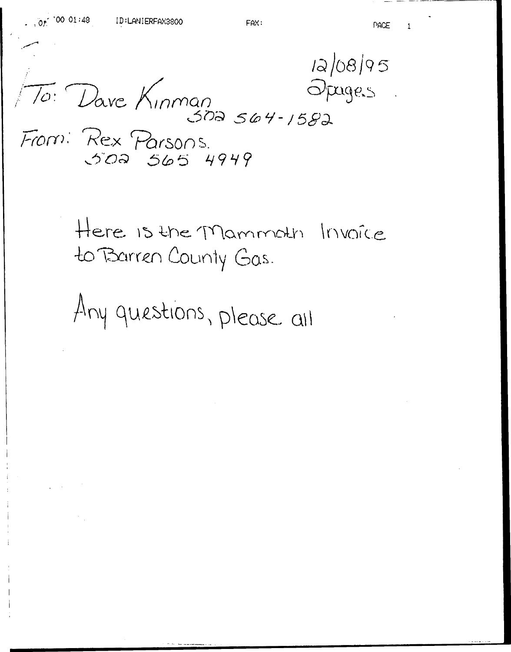$12/08/95$ Opages

 $\sqrt{70}$ : Dave Kinman 502 564-1582 From: Rex Parsons.<br>502 565 4949

> Here is the Mammoth Invoice to Barren County Gas.

Any questions, please all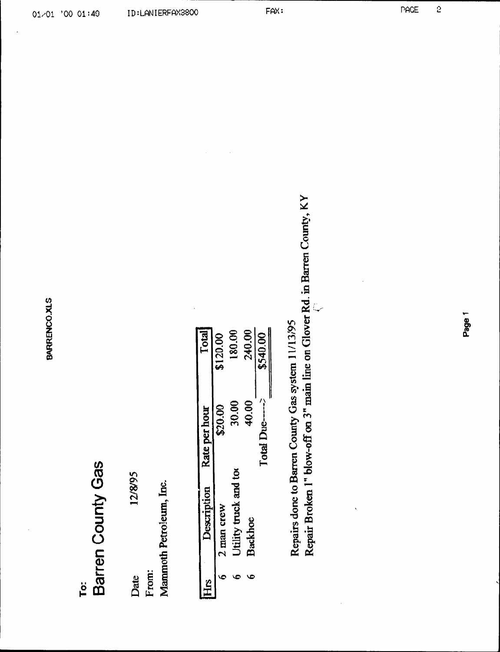# Barren County Gas To:

12/8/95 From: Date

Mammoth Petroleum, Inc.

| iHis<br>1 | Description                  | Rate per hour | <b>Total</b> |
|-----------|------------------------------|---------------|--------------|
|           | 2 man crew                   | \$20.00       | \$120.00     |
|           | <b>Jtility truck and too</b> | 30.00         | 180.00       |
|           | <b>Backhoe</b>               | 40.00         | 240.00       |
|           |                              | Total Due---- | \$540.00     |
|           |                              |               |              |

Repair Broken 1" blow-off on 3" main line on Glover Rd. in Barren County, KY Repairs done to Barren County Gas system 11/13/95

FAX: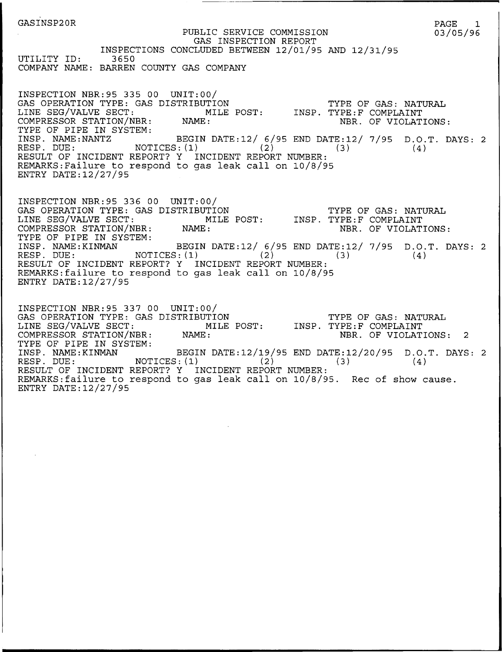GASINSP20R PUBLIC SERVICE COMMISSION GAS INSPECTION REPORT INSPECTIONS CONCLUDED BETWEEN 12/01/95 AND 12/31/95 UTILITY ID: 3650 COMPANY NAME: BARREN COUNTY GAS COMPANY PAGE 1 03/05/96 TYPE OF GAS: NATURAL INSP. TYPE:F COMPLAINT NBR. OF VIOLATIONS INSP. NAME:NANTZ BEGIN DATE:12/ 6/95 END DATE:12/ 7/95 D.O.T. DAYS: 2 RESP. DUE: NOTICES: (1) (2) (3) (4) INSPECTION NBR:95 335 00 UNIT:00/ GAS OPERATION TYPE: GAS DISTRIBUTION LINE SEG/VALVE SECT: MILE POST: COMPRESSOR STATION/NBR: NAME: TYPE OF PIPE IN SYSTEM:<br>INSP. NAME:NANTZ<br>RESP. DUE: NOT RESULT OF INCIDENT REPORT'? Y INCIDENT REPORT NUMBER: REMARKS:Failure to respond to gas leak call on 10/8/95 ENTRY DATE:12/27/95 TYPE OF GAS: NATURAL LINE SEG/VALVE SECT: MILE POST: INSP. TYPE:F COMPLAIN' NBR. OF VIOLATIONS: INSP. NAME:KINMAN BEGIN DATE:12/ 6/95 END DATE:12/ 7/95 D.O.T. DAYS: 2  $(4)$ INSPECTION NBR:95 336 00 UNIT:00/ GAS OPERATION TYPE: GAS DISTRIBUTION<br>LINE SEG/VALVE SECT: MILE I COMPRESSOR STATION/NBR: NAME: TYPE OF PIPE IN SYSTEM:<br>INSP. NAME:KINMAN RESP. DUE:  $NOTICES: (1)$  (2) (3) RESULT OF INCIDENT REPORT? Y INCIDENT REPORT NUMBER: REMARKS:failure to respond to gas leak call on 10/8/95 ENTRY DATE:12/27/95 INSPECTION NBR:95 337 00 UNIT:00/ GAS OPERATION TYPE: GAS DISTRIBUTION TYPE OF GAS: NATURAL LINE SEG/VALVE SECT: MILE POST: INSP. TYPE:F COMPLAINT COMPRESSOR STATION/NBR: NAME: NAME: NBR. OF VIOLATIONS: 2 LINE SEG/VALVE SECT: M<br>COMPRESSOR STATION/NBR: NAME:<br>TYPE OF PIPE IN SYSTEM: INSP. NAME:KINMAN BEGIN INSP. NAME:KINMAN BEGIN DATE:12/19/95 END DATE:12/20/95 D.O.T. DAYS: 2<br>RESP. DUE: MOTICES:(1) (2) (3) (4)  $NOTICES: (1)$ 

REMARKS:failure to respond to gas leak call on 10/8/95. Rec of show cause.

ENTRY DATE:12/27/95

RESULT OF INCIDENT REPORT? Y INCIDENT REPORT NUMBER: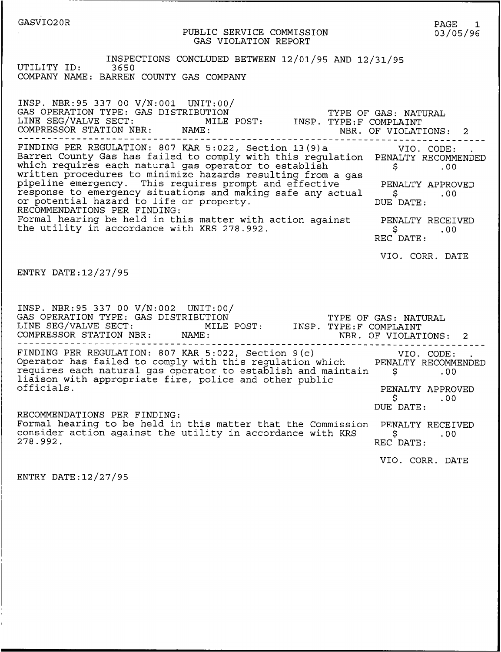## GASVI020R

PUBLIC SERVICE COMMISSION GAS VIOLATION REPORT

INSPECTIONS CONCLUDED BETWEEN 12/01/95 AND 12/31/95 UTILITY ID: 3650 COMPANY NAME: BARREN COUNTY GAS COMPANY

INSP. NBR:95 337 00 V/N:001 UNIT:00/ GAS OPERATION TYPE: GAS DISTRIBUTION LINE SEG/VALVE SECT: MILE POST: COMPRESSOR STATION NBR: NAME: TYPE OF GAS: NATURAL INSP. TYPE: F COMPLAINT NBR. OF VIOLATIONS: 2 FINDING PER REGULATION: <sup>807</sup> KAR 5:022, Section 13(9)a Barren County Gas has failed to comply with this regulation PENALTY RECOMMENDED \$ .00 which requires each natural gas operator to establish<br>written procedures to minimize hazards resulting from a gas<br>pipeline emergency. This requires prompt and effective response to emergency situations and making safe any actual or potential hazard to life or property. RECOMMENDATIONS PER FINDING: Formal hearing be held in this matter with action against the utility in accordance with KRS 278.992. ENTRY DATE:12/27/95 FINDING PER REGULATION: 807 KAR 5:022, Section 13(9)a VIO. CODE: PENALTY APPROVED<br>\$ .00 .00 DUE DATE: PENALTY RECEIVED \$ .00 REC DATE: VIO. CORR. DATE INSP. NBR:95 337 00 V/N:002 UNIT:00/ GAS OPERATION TYPE: GAS DISTRIBUTION LINE SEG/VALVE SECT: MILE POST: COMPRESSOR STATION NBR: NAME: TYPE OF GAS: NATURAL INSP. TYPE: F COMPLAINT NBR. OF VIOLATIONS: 2 FINDING PER REGULATION: 807 KAR 5:022, Section 9(c) VIO. CODE: requires each natural gas operator to establish and maintain 5<br>liaison with appropriate fire, police and other public<br>officials. PENALTY RECOMMENDE<br>\$ .00 PENALTY APPROVED \$ .00 DUE DATE: RECOMMENDATIONS PER FINDING: Formal hearing to be held in this matter that the Commission PENALTY RECEIVED<br>consider action against the utility in accordance with KRS \$.00<br>278.992. REC DATE:

VIO. CORR. DATE

ENTRY DATE:12/27/95

PAGE 1 03/05/96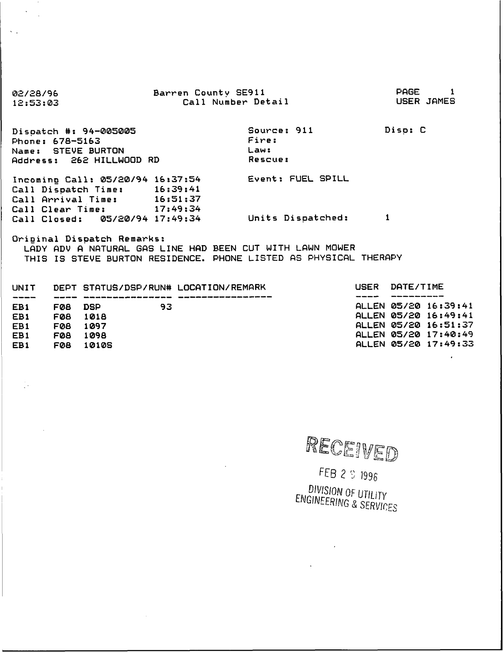| 02/28/96                                                         | Barren County SE911 |                   | PAGE       |
|------------------------------------------------------------------|---------------------|-------------------|------------|
| 12:53:03                                                         | Call Number Detail  |                   | USER JAMES |
|                                                                  |                     |                   |            |
| Dispatch #: 94-005005                                            |                     | Source: 911       | Disp: C    |
| Phone: 678-5163                                                  |                     | Fire:             |            |
| Name: STEVE BURTON                                               |                     | Law:              |            |
| Address: 262 HILLWOOD RD                                         |                     | <b>Rescue:</b>    |            |
|                                                                  |                     |                   |            |
| Incoming Call: 05/20/94 16:37:54                                 |                     | Event: FUEL SPILL |            |
| Call Dispatch Time: 16:39:41                                     |                     |                   |            |
| Call Arrival Time: 16:51:37                                      |                     |                   |            |
| Call Clear Time: 17:49:34                                        |                     |                   |            |
| Call Closed: 05/20/94 17:49:34                                   |                     | Units Dispatched: |            |
|                                                                  |                     |                   |            |
| Orininal Dispatch Remarks:                                       |                     |                   |            |
| LADY ADV A NATURAL GAS LINE HAD BEEN CUT WITH LAWN MOWER         |                     |                   |            |
| THIS IS STEVE BURTON RESIDENCE. PHONE LISTED AS PHYSICAL THERAPY |                     |                   |            |
|                                                                  |                     |                   |            |
|                                                                  |                     |                   |            |

 $\sim$  $\ddot{\phantom{0}}$  $\ddot{\phantom{a}}$ 

 $\sim$   $\,$ 

| UNIT            |     |             | DEPT SIATUS/DSP/RUN# LOCATION/REMARK |                       | USER DHIE/IIME       |
|-----------------|-----|-------------|--------------------------------------|-----------------------|----------------------|
|                 |     |             |                                      | بالنبو محجو محجو خديد |                      |
| EB1             | FØ8 | DSP -<br>93 |                                      |                       | ALLEN 05/20 16:39:41 |
| EB1             | FØ8 | 1018        |                                      |                       | ALLEN 05/20 16:49:41 |
| EB <sub>1</sub> | FØ8 | 1097        |                                      |                       | ALLEN 05/20 16:51:37 |
| EB1             | F08 | 1098        |                                      |                       | ALLEN 05/20 17:40:49 |
| EB1             | FØB | 10105       |                                      |                       | ALLEN 05/20 17:49:33 |
|                 |     |             |                                      |                       |                      |

 $\bar{a}$ 

 $\overline{a}$ 

RECEIVED

FEB 2 9 1996 DIVISION OF UTILITY<br>ENGINEERING & SERVICES

 $\bar{\mathbf{z}}$